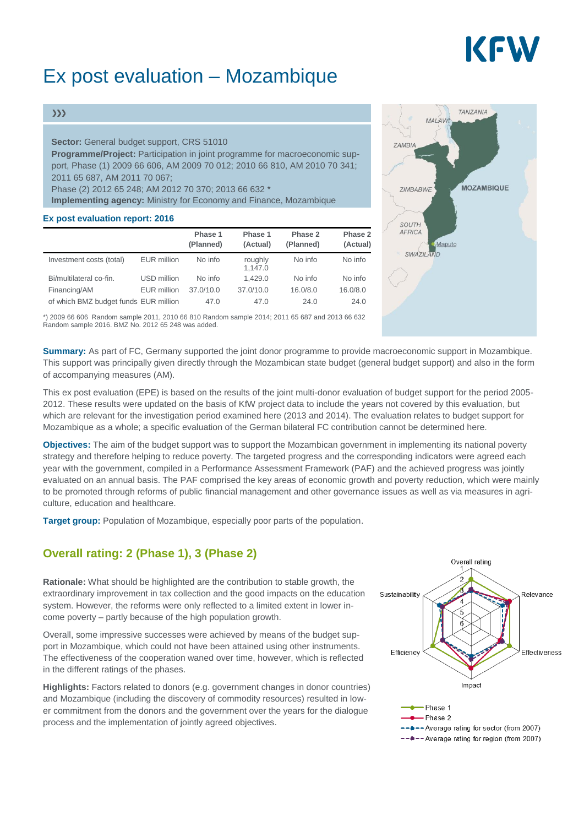# KFW

## Ex post evaluation – Mozambique

#### $\gg$

#### **Sector:** General budget support, CRS 51010

**Programme/Project:** Participation in joint programme for macroeconomic support, Phase (1) 2009 66 606, AM 2009 70 012; 2010 66 810, AM 2010 70 341; 2011 65 687, AM 2011 70 067;

Phase (2) 2012 65 248; AM 2012 70 370; 2013 66 632 \*

**Implementing agency:** Ministry for Economy and Finance, Mozambique

#### **Ex post evaluation report: 2016**

|                                       |                    | Phase 1<br>(Planned) | Phase 1<br>(Actual) | Phase 2<br>(Planned) | Phase 2<br>(Actual) |
|---------------------------------------|--------------------|----------------------|---------------------|----------------------|---------------------|
| Investment costs (total)              | <b>EUR</b> million | No info              | roughly<br>1,147.0  | No info              | No info             |
| Bi/multilateral co-fin.               | USD million        | No info              | 1.429.0             | No info              | No info             |
| Financing/AM                          | EUR million        | 37.0/10.0            | 37.0/10.0           | 16.0/8.0             | 16.0/8.0            |
| of which BMZ budget funds EUR million |                    | 47.0                 | 47.0                | 24.0                 | 24.0                |

\*) 2009 66 606 Random sample 2011, 2010 66 810 Random sample 2014; 2011 65 687 and 2013 66 632 Random sample 2016. BMZ No. 2012 65 248 was added.



**Summary:** As part of FC, Germany supported the joint donor programme to provide macroeconomic support in Mozambique. This support was principally given directly through the Mozambican state budget (general budget support) and also in the form of accompanying measures (AM).

This ex post evaluation (EPE) is based on the results of the joint multi-donor evaluation of budget support for the period 2005- 2012. These results were updated on the basis of KfW project data to include the years not covered by this evaluation, but which are relevant for the investigation period examined here (2013 and 2014). The evaluation relates to budget support for Mozambique as a whole; a specific evaluation of the German bilateral FC contribution cannot be determined here.

**Objectives:** The aim of the budget support was to support the Mozambican government in implementing its national poverty strategy and therefore helping to reduce poverty. The targeted progress and the corresponding indicators were agreed each year with the government, compiled in a Performance Assessment Framework (PAF) and the achieved progress was jointly evaluated on an annual basis. The PAF comprised the key areas of economic growth and poverty reduction, which were mainly to be promoted through reforms of public financial management and other governance issues as well as via measures in agriculture, education and healthcare.

**Target group:** Population of Mozambique, especially poor parts of the population.

### **Overall rating: 2 (Phase 1), 3 (Phase 2)**

**Rationale:** What should be highlighted are the contribution to stable growth, the extraordinary improvement in tax collection and the good impacts on the education system. However, the reforms were only reflected to a limited extent in lower income poverty – partly because of the high population growth.

Overall, some impressive successes were achieved by means of the budget support in Mozambique, which could not have been attained using other instruments. The effectiveness of the cooperation waned over time, however, which is reflected in the different ratings of the phases.

**Highlights:** Factors related to donors (e.g. government changes in donor countries) and Mozambique (including the discovery of commodity resources) resulted in lower commitment from the donors and the government over the years for the dialogue process and the implementation of jointly agreed objectives.



--\*-- Average rating for region (from 2007)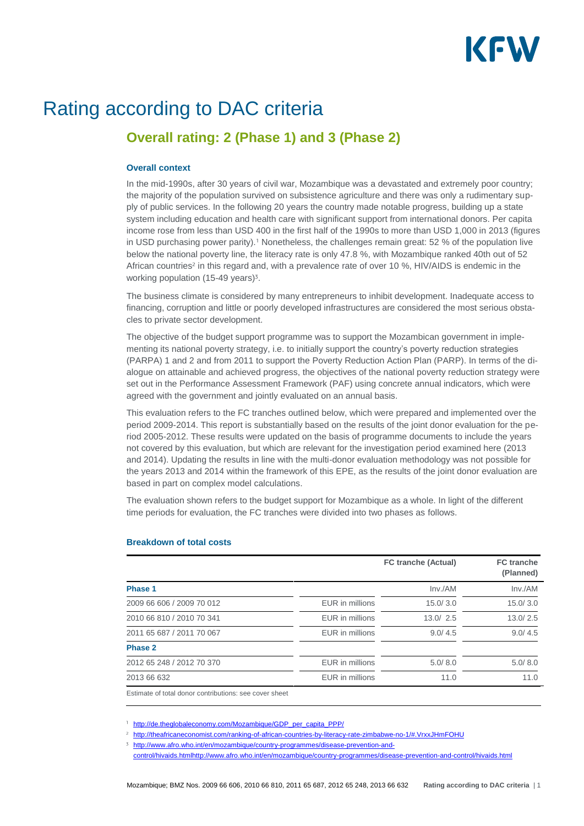# KFW

## Rating according to DAC criteria

### **Overall rating: 2 (Phase 1) and 3 (Phase 2)**

#### **Overall context**

In the mid-1990s, after 30 years of civil war, Mozambique was a devastated and extremely poor country; the majority of the population survived on subsistence agriculture and there was only a rudimentary supply of public services. In the following 20 years the country made notable progress, building up a state system including education and health care with significant support from international donors. Per capita income rose from less than USD 400 in the first half of the 1990s to more than USD 1,000 in 2013 (figures in USD purchasing power parity).<sup>1</sup> Nonetheless, the challenges remain great: 52 % of the population live below the national poverty line, the literacy rate is only 47.8 %, with Mozambique ranked 40th out of 52 African countries<sup>2</sup> in this regard and, with a prevalence rate of over 10 %, HIV/AIDS is endemic in the working population  $(15-49 \text{ years})^3$ .

The business climate is considered by many entrepreneurs to inhibit development. Inadequate access to financing, corruption and little or poorly developed infrastructures are considered the most serious obstacles to private sector development.

The objective of the budget support programme was to support the Mozambican government in implementing its national poverty strategy, i.e. to initially support the country's poverty reduction strategies (PARPA) 1 and 2 and from 2011 to support the Poverty Reduction Action Plan (PARP). In terms of the dialogue on attainable and achieved progress, the objectives of the national poverty reduction strategy were set out in the Performance Assessment Framework (PAF) using concrete annual indicators, which were agreed with the government and jointly evaluated on an annual basis.

This evaluation refers to the FC tranches outlined below, which were prepared and implemented over the period 2009-2014. This report is substantially based on the results of the joint donor evaluation for the period 2005-2012. These results were updated on the basis of programme documents to include the years not covered by this evaluation, but which are relevant for the investigation period examined here (2013 and 2014). Updating the results in line with the multi-donor evaluation methodology was not possible for the years 2013 and 2014 within the framework of this EPE, as the results of the joint donor evaluation are based in part on complex model calculations.

The evaluation shown refers to the budget support for Mozambique as a whole. In light of the different time periods for evaluation, the FC tranches were divided into two phases as follows.

|                                                        |                 | <b>FC tranche (Actual)</b> | <b>FC</b> tranche<br>(Planned) |
|--------------------------------------------------------|-----------------|----------------------------|--------------------------------|
| Phase 1                                                |                 | Inv./AM                    | Inv./AM                        |
| 2009 66 606 / 2009 70 012                              | EUR in millions | 15.0/3.0                   | 15.0/3.0                       |
| 2010 66 810 / 2010 70 341                              | EUR in millions | 13.0 / 2.5                 | 13.0/2.5                       |
| 2011 65 687 / 2011 70 067                              | EUR in millions | 9.0/4.5                    | 9.0/4.5                        |
| Phase 2                                                |                 |                            |                                |
| 2012 65 248 / 2012 70 370                              | EUR in millions | 5.0/8.0                    | 5.0/8.0                        |
| 2013 66 632                                            | EUR in millions | 11.0                       | 11.0                           |
| Estimate of total donor contributions: see cover sheet |                 |                            |                                |

#### **Breakdown of total costs**

[http://de.theglobaleconomy.com/Mozambique/GDP\\_per\\_capita\\_PPP/](http://de.theglobaleconomy.com/Mozambique/GDP_per_capita_PPP/)

<sup>2</sup> <http://theafricaneconomist.com/ranking-of-african-countries-by-literacy-rate-zimbabwe-no-1/#.VrxxJHmFOHU> <sup>3</sup> [http://www.afro.who.int/en/mozambique/country-programmes/disease-prevention-and-](http://www.afro.who.int/en/mozambique/country-programmes/disease-prevention-and-control/hivaids.htmlhttp:/www.afro.who.int/en/mozambique/country-programmes/disease-prevention-and-control/hivaids.html)

[control/hivaids.htmlhttp://www.afro.who.int/en/mozambique/country-programmes/disease-prevention-and-control/hivaids.html](http://www.afro.who.int/en/mozambique/country-programmes/disease-prevention-and-control/hivaids.htmlhttp:/www.afro.who.int/en/mozambique/country-programmes/disease-prevention-and-control/hivaids.html)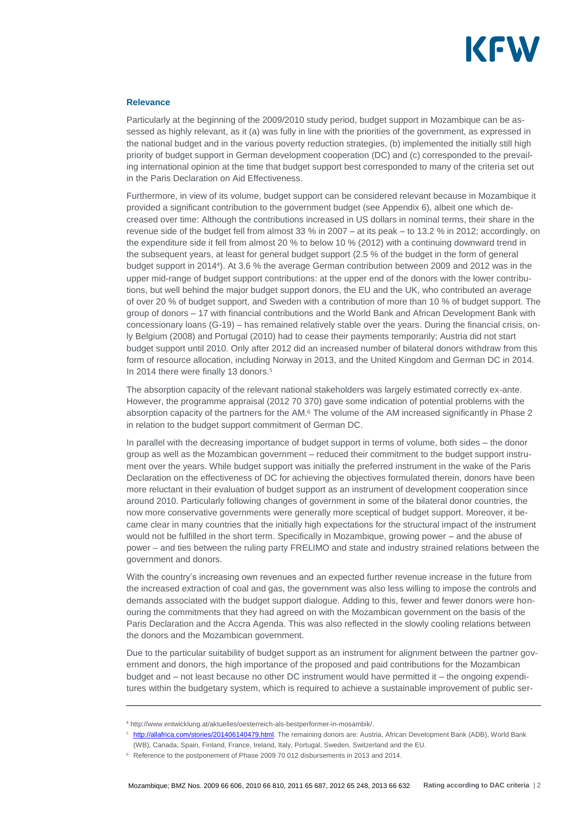

#### **Relevance**

Particularly at the beginning of the 2009/2010 study period, budget support in Mozambique can be assessed as highly relevant, as it (a) was fully in line with the priorities of the government, as expressed in the national budget and in the various poverty reduction strategies, (b) implemented the initially still high priority of budget support in German development cooperation (DC) and (c) corresponded to the prevailing international opinion at the time that budget support best corresponded to many of the criteria set out in the Paris Declaration on Aid Effectiveness.

Furthermore, in view of its volume, budget support can be considered relevant because in Mozambique it provided a significant contribution to the government budget (see Appendix 6), albeit one which decreased over time: Although the contributions increased in US dollars in nominal terms, their share in the revenue side of the budget fell from almost 33 % in 2007 – at its peak – to 13.2 % in 2012; accordingly, on the expenditure side it fell from almost 20 % to below 10 % (2012) with a continuing downward trend in the subsequent years, at least for general budget support (2.5 % of the budget in the form of general budget support in 2014 ). At 3.6 % the average German contribution between 2009 and 2012 was in the upper mid-range of budget support contributions: at the upper end of the donors with the lower contributions, but well behind the major budget support donors, the EU and the UK, who contributed an average of over 20 % of budget support, and Sweden with a contribution of more than 10 % of budget support. The group of donors – 17 with financial contributions and the World Bank and African Development Bank with concessionary loans (G-19) – has remained relatively stable over the years. During the financial crisis, only Belgium (2008) and Portugal (2010) had to cease their payments temporarily; Austria did not start budget support until 2010. Only after 2012 did an increased number of bilateral donors withdraw from this form of resource allocation, including Norway in 2013, and the United Kingdom and German DC in 2014. In 2014 there were finally 13 donors.

The absorption capacity of the relevant national stakeholders was largely estimated correctly ex-ante. However, the programme appraisal (2012 70 370) gave some indication of potential problems with the absorption capacity of the partners for the AM.<sup>6</sup> The volume of the AM increased significantly in Phase 2 in relation to the budget support commitment of German DC.

In parallel with the decreasing importance of budget support in terms of volume, both sides – the donor group as well as the Mozambican government – reduced their commitment to the budget support instrument over the years. While budget support was initially the preferred instrument in the wake of the Paris Declaration on the effectiveness of DC for achieving the objectives formulated therein, donors have been more reluctant in their evaluation of budget support as an instrument of development cooperation since around 2010. Particularly following changes of government in some of the bilateral donor countries, the now more conservative governments were generally more sceptical of budget support. Moreover, it became clear in many countries that the initially high expectations for the structural impact of the instrument would not be fulfilled in the short term. Specifically in Mozambique, growing power – and the abuse of power – and ties between the ruling party FRELIMO and state and industry strained relations between the government and donors.

With the country's increasing own revenues and an expected further revenue increase in the future from the increased extraction of coal and gas, the government was also less willing to impose the controls and demands associated with the budget support dialogue. Adding to this, fewer and fewer donors were honouring the commitments that they had agreed on with the Mozambican government on the basis of the Paris Declaration and the Accra Agenda. This was also reflected in the slowly cooling relations between the donors and the Mozambican government.

Due to the particular suitability of budget support as an instrument for alignment between the partner government and donors, the high importance of the proposed and paid contributions for the Mozambican budget and – not least because no other DC instrument would have permitted it – the ongoing expenditures within the budgetary system, which is required to achieve a sustainable improvement of public ser-

http://www.entwicklung.at/aktuelles/oesterreich-als-bestperformer-in-mosambik/.

<sup>&</sup>lt;sup>5</sup> [http://allafrica.com/stories/201406140479.html.](http://allafrica.com/stories/201406140479.html) The remaining donors are: Austria, African Development Bank (ADB), World Bank (WB), Canada, Spain, Finland, France, Ireland, Italy, Portugal, Sweden, Switzerland and the EU.

Reference to the postponement of Phase 2009 70 012 disbursements in 2013 and 2014.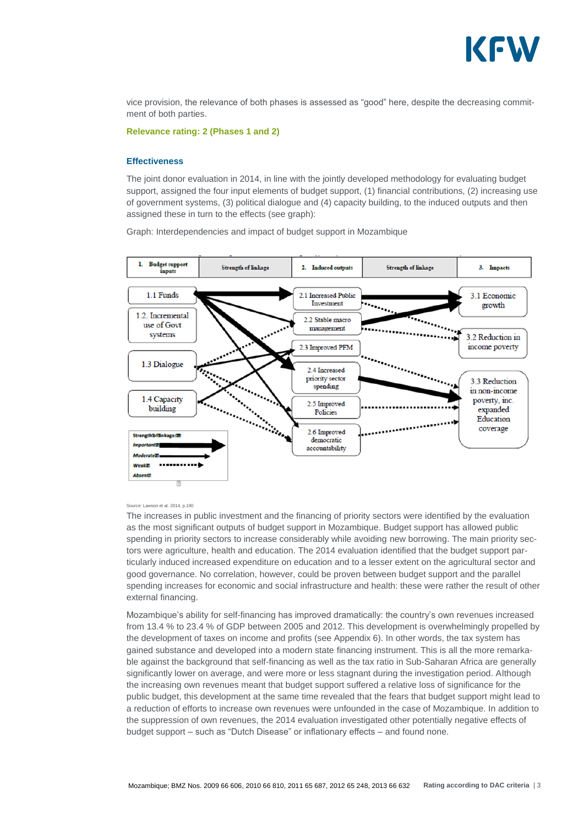

vice provision, the relevance of both phases is assessed as "good" here, despite the decreasing commitment of both parties.

**Relevance rating: 2 (Phases 1 and 2)**

#### **Effectiveness**

The ioint donor evaluation in 2014, in line with the jointly developed methodology for evaluating budget support, assigned the four input elements of budget support, (1) financial contributions, (2) increasing use of government systems, (3) political dialogue and (4) capacity building, to the induced outputs and then assigned these in turn to the effects (see graph):

Graph: Interdependencies and impact of budget support in Mozambique



#### Source: Lawson et al. 2014, p.190

The increases in public investment and the financing of priority sectors were identified by the evaluation as the most significant outputs of budget support in Mozambique. Budget support has allowed public spending in priority sectors to increase considerably while avoiding new borrowing. The main priority sectors were agriculture, health and education. The 2014 evaluation identified that the budget support particularly induced increased expenditure on education and to a lesser extent on the agricultural sector and good governance. No correlation, however, could be proven between budget support and the parallel spending increases for economic and social infrastructure and health: these were rather the result of other external financing.

Mozambique's ability for self-financing has improved dramatically: the country's own revenues increased from 13.4 % to 23.4 % of GDP between 2005 and 2012. This development is overwhelmingly propelled by the development of taxes on income and profits (see Appendix 6). In other words, the tax system has gained substance and developed into a modern state financing instrument. This is all the more remarkable against the background that self-financing as well as the tax ratio in Sub-Saharan Africa are generally significantly lower on average, and were more or less stagnant during the investigation period. Although the increasing own revenues meant that budget support suffered a relative loss of significance for the public budget, this development at the same time revealed that the fears that budget support might lead to a reduction of efforts to increase own revenues were unfounded in the case of Mozambique. In addition to the suppression of own revenues, the 2014 evaluation investigated other potentially negative effects of budget support – such as "Dutch Disease" or inflationary effects – and found none.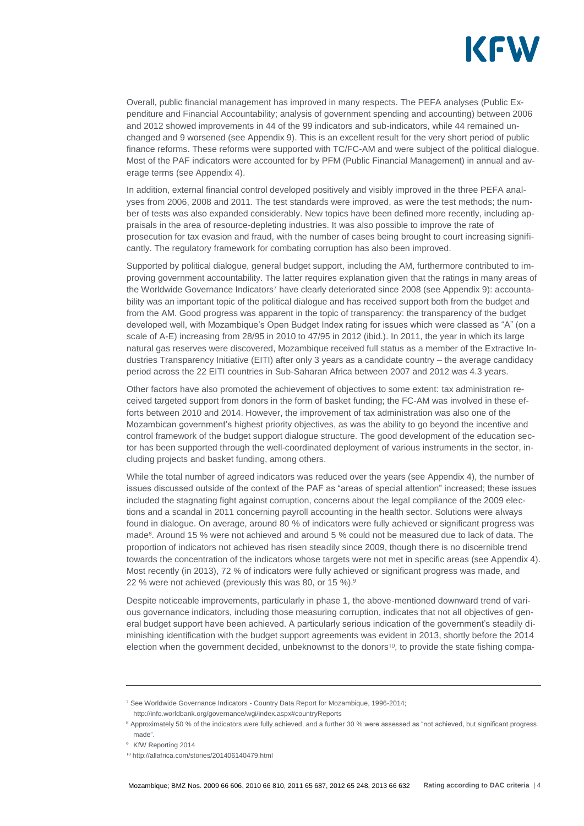

Overall, public financial management has improved in many respects. The PEFA analyses (Public Expenditure and Financial Accountability; analysis of government spending and accounting) between 2006 and 2012 showed improvements in 44 of the 99 indicators and sub-indicators, while 44 remained unchanged and 9 worsened (see Appendix 9). This is an excellent result for the very short period of public finance reforms. These reforms were supported with TC/FC-AM and were subject of the political dialogue. Most of the PAF indicators were accounted for by PFM (Public Financial Management) in annual and average terms (see Appendix 4).

In addition, external financial control developed positively and visibly improved in the three PEFA analyses from 2006, 2008 and 2011. The test standards were improved, as were the test methods; the number of tests was also expanded considerably. New topics have been defined more recently, including appraisals in the area of resource-depleting industries. It was also possible to improve the rate of prosecution for tax evasion and fraud, with the number of cases being brought to court increasing significantly. The regulatory framework for combating corruption has also been improved.

Supported by political dialogue, general budget support, including the AM, furthermore contributed to improving government accountability. The latter requires explanation given that the ratings in many areas of the Worldwide Governance Indicators<sup>7</sup> have clearly deteriorated since 2008 (see Appendix 9): accountability was an important topic of the political dialogue and has received support both from the budget and from the AM. Good progress was apparent in the topic of transparency: the transparency of the budget developed well, with Mozambique's Open Budget Index rating for issues which were classed as "A" (on a scale of A-E) increasing from 28/95 in 2010 to 47/95 in 2012 (ibid.). In 2011, the year in which its large natural gas reserves were discovered, Mozambique received full status as a member of the Extractive Industries Transparency Initiative (EITI) after only 3 years as a candidate country – the average candidacy period across the 22 EITI countries in Sub-Saharan Africa between 2007 and 2012 was 4.3 years.

Other factors have also promoted the achievement of objectives to some extent: tax administration received targeted support from donors in the form of basket funding; the FC-AM was involved in these efforts between 2010 and 2014. However, the improvement of tax administration was also one of the Mozambican government's highest priority objectives, as was the ability to go beyond the incentive and control framework of the budget support dialogue structure. The good development of the education sector has been supported through the well-coordinated deployment of various instruments in the sector, including projects and basket funding, among others.

While the total number of agreed indicators was reduced over the years (see Appendix 4), the number of issues discussed outside of the context of the PAF as "areas of special attention" increased; these issues included the stagnating fight against corruption, concerns about the legal compliance of the 2009 elections and a scandal in 2011 concerning payroll accounting in the health sector. Solutions were always found in dialogue. On average, around 80 % of indicators were fully achieved or significant progress was made<sup>8</sup>. Around 15 % were not achieved and around 5 % could not be measured due to lack of data. The proportion of indicators not achieved has risen steadily since 2009, though there is no discernible trend towards the concentration of the indicators whose targets were not met in specific areas (see Appendix 4). Most recently (in 2013), 72 % of indicators were fully achieved or significant progress was made, and 22 % were not achieved (previously this was 80, or 15 %).

Despite noticeable improvements, particularly in phase 1, the above-mentioned downward trend of various governance indicators, including those measuring corruption, indicates that not all objectives of general budget support have been achieved. A particularly serious indication of the government's steadily diminishing identification with the budget support agreements was evident in 2013, shortly before the 2014 election when the government decided, unbeknownst to the donors $10$ , to provide the state fishing compa-

<sup>&</sup>lt;sup>7</sup> See Worldwide Governance Indicators - Country Data Report for Mozambique, 1996-2014; http://info.worldbank.org/governance/wgi/index.aspx#countryReports

<sup>&</sup>lt;sup>8</sup> Approximately 50 % of the indicators were fully achieved, and a further 30 % were assessed as "not achieved, but significant progress made".

<sup>&</sup>lt;sup>9</sup> KfW Reporting 2014

http://allafrica.com/stories/201406140479.html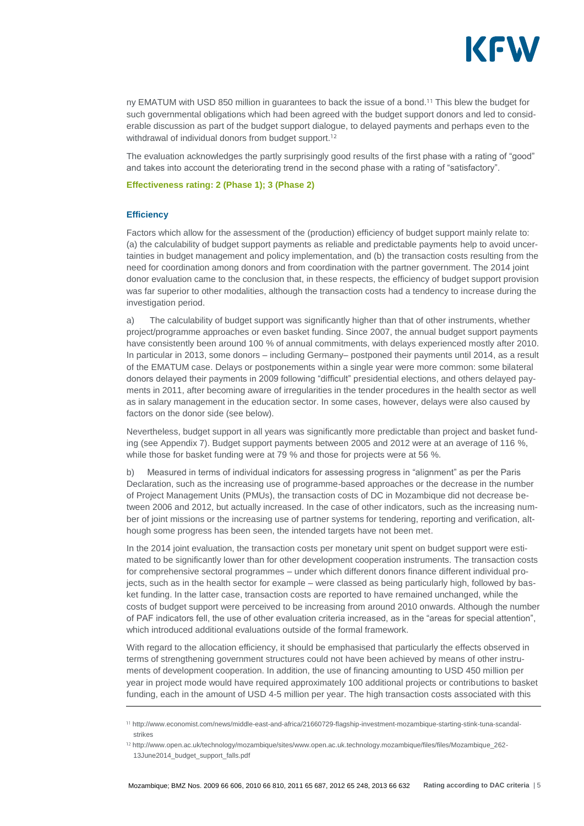

ny EMATUM with USD 850 million in guarantees to back the issue of a bond.<sup>11</sup> This blew the budget for such governmental obligations which had been agreed with the budget support donors and led to considerable discussion as part of the budget support dialogue, to delayed payments and perhaps even to the withdrawal of individual donors from budget support.<sup>12</sup>

The evaluation acknowledges the partly surprisingly good results of the first phase with a rating of "good" and takes into account the deteriorating trend in the second phase with a rating of "satisfactory".

#### **Effectiveness rating: 2 (Phase 1); 3 (Phase 2)**

#### **Efficiency**

Factors which allow for the assessment of the (production) efficiency of budget support mainly relate to: (a) the calculability of budget support payments as reliable and predictable payments help to avoid uncertainties in budget management and policy implementation, and (b) the transaction costs resulting from the need for coordination among donors and from coordination with the partner government. The 2014 joint donor evaluation came to the conclusion that, in these respects, the efficiency of budget support provision was far superior to other modalities, although the transaction costs had a tendency to increase during the investigation period.

a) The calculability of budget support was significantly higher than that of other instruments, whether project/programme approaches or even basket funding. Since 2007, the annual budget support payments have consistently been around 100 % of annual commitments, with delays experienced mostly after 2010. In particular in 2013, some donors – including Germany– postponed their payments until 2014, as a result of the EMATUM case. Delays or postponements within a single year were more common: some bilateral donors delayed their payments in 2009 following "difficult" presidential elections, and others delayed payments in 2011, after becoming aware of irregularities in the tender procedures in the health sector as well as in salary management in the education sector. In some cases, however, delays were also caused by factors on the donor side (see below).

Nevertheless, budget support in all years was significantly more predictable than project and basket funding (see Appendix 7). Budget support payments between 2005 and 2012 were at an average of 116 %, while those for basket funding were at 79 % and those for projects were at 56 %.

b) Measured in terms of individual indicators for assessing progress in "alignment" as per the Paris Declaration, such as the increasing use of programme-based approaches or the decrease in the number of Project Management Units (PMUs), the transaction costs of DC in Mozambique did not decrease between 2006 and 2012, but actually increased. In the case of other indicators, such as the increasing number of joint missions or the increasing use of partner systems for tendering, reporting and verification, although some progress has been seen, the intended targets have not been met.

In the 2014 joint evaluation, the transaction costs per monetary unit spent on budget support were estimated to be significantly lower than for other development cooperation instruments. The transaction costs for comprehensive sectoral programmes – under which different donors finance different individual projects, such as in the health sector for example – were classed as being particularly high, followed by basket funding. In the latter case, transaction costs are reported to have remained unchanged, while the costs of budget support were perceived to be increasing from around 2010 onwards. Although the number of PAF indicators fell, the use of other evaluation criteria increased, as in the "areas for special attention", which introduced additional evaluations outside of the formal framework.

With regard to the allocation efficiency, it should be emphasised that particularly the effects observed in terms of strengthening government structures could not have been achieved by means of other instruments of development cooperation. In addition, the use of financing amounting to USD 450 million per year in project mode would have required approximately 100 additional projects or contributions to basket funding, each in the amount of USD 4-5 million per year. The high transaction costs associated with this

http://www.economist.com/news/middle-east-and-africa/21660729-flagship-investment-mozambique-starting-stink-tuna-scandalstrikes

<sup>12</sup> http://www.open.ac.uk/technology/mozambique/sites/www.open.ac.uk.technology.mozambique/files/files/Mozambique\_262-13June2014\_budget\_support\_falls.pdf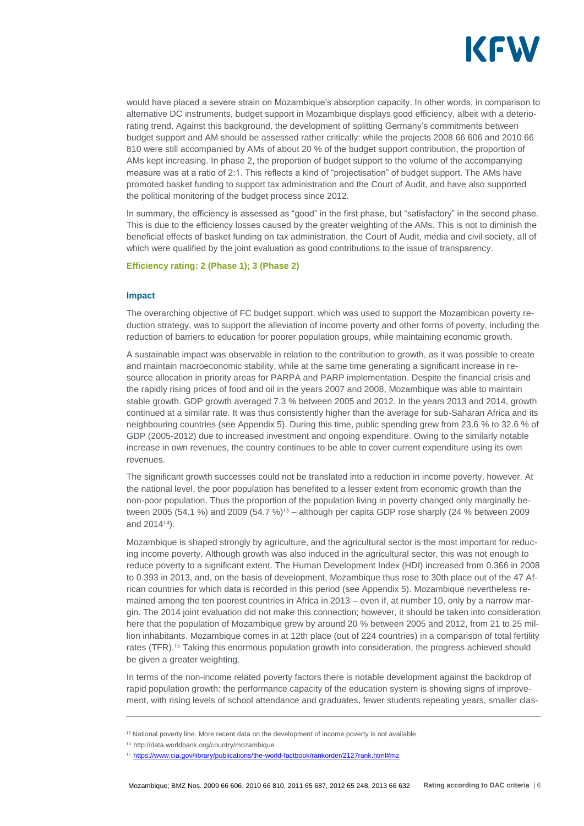

would have placed a severe strain on Mozambique's absorption capacity. In other words, in comparison to alternative DC instruments, budget support in Mozambique displays good efficiency, albeit with a deteriorating trend. Against this background, the development of splitting Germany's commitments between budget support and AM should be assessed rather critically: while the projects 2008 66 606 and 2010 66 810 were still accompanied by AMs of about 20 % of the budget support contribution, the proportion of AMs kept increasing. In phase 2, the proportion of budget support to the volume of the accompanying measure was at a ratio of 2:1. This reflects a kind of "projectisation" of budget support. The AMs have promoted basket funding to support tax administration and the Court of Audit, and have also supported the political monitoring of the budget process since 2012.

In summary, the efficiency is assessed as "good" in the first phase, but "satisfactory" in the second phase. This is due to the efficiency losses caused by the greater weighting of the AMs. This is not to diminish the beneficial effects of basket funding on tax administration, the Court of Audit, media and civil society, all of which were qualified by the joint evaluation as good contributions to the issue of transparency.

#### **Efficiency rating: 2 (Phase 1); 3 (Phase 2)**

#### **Impact**

The overarching objective of FC budget support, which was used to support the Mozambican poverty reduction strategy, was to support the alleviation of income poverty and other forms of poverty, including the reduction of barriers to education for poorer population groups, while maintaining economic growth.

A sustainable impact was observable in relation to the contribution to growth, as it was possible to create and maintain macroeconomic stability, while at the same time generating a significant increase in resource allocation in priority areas for PARPA and PARP implementation. Despite the financial crisis and the rapidly rising prices of food and oil in the years 2007 and 2008, Mozambique was able to maintain stable growth. GDP growth averaged 7.3 % between 2005 and 2012. In the years 2013 and 2014, growth continued at a similar rate. It was thus consistently higher than the average for sub-Saharan Africa and its neighbouring countries (see Appendix 5). During this time, public spending grew from 23.6 % to 32.6 % of GDP (2005-2012) due to increased investment and ongoing expenditure. Owing to the similarly notable increase in own revenues, the country continues to be able to cover current expenditure using its own revenues.

The significant growth successes could not be translated into a reduction in income poverty, however. At the national level, the poor population has benefited to a lesser extent from economic growth than the non-poor population. Thus the proportion of the population living in poverty changed only marginally between 2005 (54.1 %) and 2009 (54.7 %)<sup>13</sup> – although per capita GDP rose sharply (24 % between 2009 and  $2014^{14}$ ).

Mozambique is shaped strongly by agriculture, and the agricultural sector is the most important for reducing income poverty. Although growth was also induced in the agricultural sector, this was not enough to reduce poverty to a significant extent. The Human Development Index (HDI) increased from 0.366 in 2008 to 0.393 in 2013, and, on the basis of development, Mozambique thus rose to 30th place out of the 47 African countries for which data is recorded in this period (see Appendix 5). Mozambique nevertheless remained among the ten poorest countries in Africa in 2013 – even if, at number 10, only by a narrow margin. The 2014 joint evaluation did not make this connection; however, it should be taken into consideration here that the population of Mozambique grew by around 20 % between 2005 and 2012, from 21 to 25 million inhabitants. Mozambique comes in at 12th place (out of 224 countries) in a comparison of total fertility rates (TFR).<sup>15</sup> Taking this enormous population growth into consideration, the progress achieved should be given a greater weighting.

In terms of the non-income related poverty factors there is notable development against the backdrop of rapid population growth: the performance capacity of the education system is showing signs of improvement, with rising levels of school attendance and graduates, fewer students repeating years, smaller clas-

<sup>&</sup>lt;sup>13</sup> National poverty line. More recent data on the development of income poverty is not available.

<sup>14</sup> http://data.worldbank.org/country/mozambique

<sup>&</sup>lt;sup>15</sup> <https://www.cia.gov/library/publications/the-world-factbook/rankorder/2127rank.html#mz>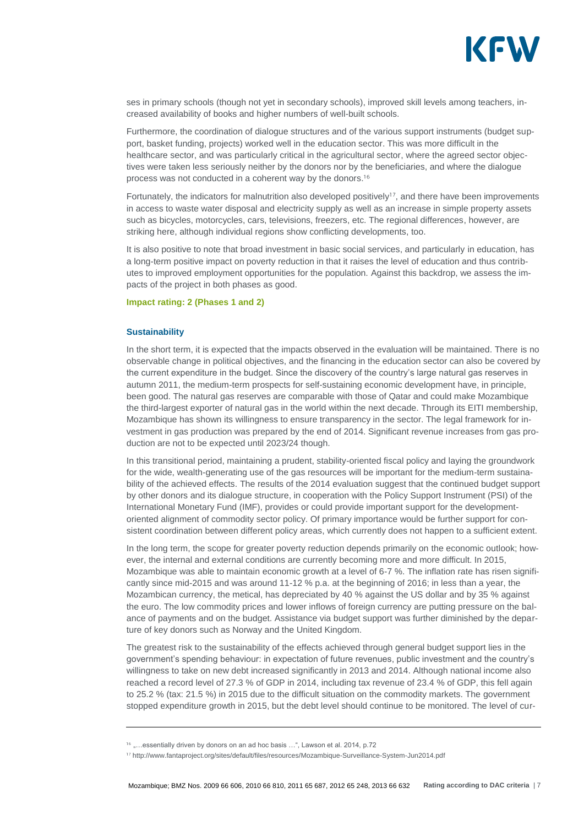

ses in primary schools (though not yet in secondary schools), improved skill levels among teachers, increased availability of books and higher numbers of well-built schools.

Furthermore, the coordination of dialogue structures and of the various support instruments (budget support, basket funding, projects) worked well in the education sector. This was more difficult in the healthcare sector, and was particularly critical in the agricultural sector, where the agreed sector objectives were taken less seriously neither by the donors nor by the beneficiaries, and where the dialogue process was not conducted in a coherent way by the donors.<sup>16</sup>

Fortunately, the indicators for malnutrition also developed positively<sup>17</sup>, and there have been improvements in access to waste water disposal and electricity supply as well as an increase in simple property assets such as bicycles, motorcycles, cars, televisions, freezers, etc. The regional differences, however, are striking here, although individual regions show conflicting developments, too.

It is also positive to note that broad investment in basic social services, and particularly in education, has a long-term positive impact on poverty reduction in that it raises the level of education and thus contributes to improved employment opportunities for the population. Against this backdrop, we assess the impacts of the project in both phases as good.

#### **Impact rating: 2 (Phases 1 and 2)**

#### **Sustainability**

In the short term, it is expected that the impacts observed in the evaluation will be maintained. There is no observable change in political objectives, and the financing in the education sector can also be covered by the current expenditure in the budget. Since the discovery of the country's large natural gas reserves in autumn 2011, the medium-term prospects for self-sustaining economic development have, in principle, been good. The natural gas reserves are comparable with those of Qatar and could make Mozambique the third-largest exporter of natural gas in the world within the next decade. Through its EITI membership, Mozambique has shown its willingness to ensure transparency in the sector. The legal framework for investment in gas production was prepared by the end of 2014. Significant revenue increases from gas production are not to be expected until 2023/24 though.

In this transitional period, maintaining a prudent, stability-oriented fiscal policy and laying the groundwork for the wide, wealth-generating use of the gas resources will be important for the medium-term sustainability of the achieved effects. The results of the 2014 evaluation suggest that the continued budget support by other donors and its dialogue structure, in cooperation with the Policy Support Instrument (PSI) of the International Monetary Fund (IMF), provides or could provide important support for the developmentoriented alignment of commodity sector policy. Of primary importance would be further support for consistent coordination between different policy areas, which currently does not happen to a sufficient extent.

In the long term, the scope for greater poverty reduction depends primarily on the economic outlook; however, the internal and external conditions are currently becoming more and more difficult. In 2015, Mozambique was able to maintain economic growth at a level of 6-7 %. The inflation rate has risen significantly since mid-2015 and was around 11-12 % p.a. at the beginning of 2016; in less than a year, the Mozambican currency, the metical, has depreciated by 40 % against the US dollar and by 35 % against the euro. The low commodity prices and lower inflows of foreign currency are putting pressure on the balance of payments and on the budget. Assistance via budget support was further diminished by the departure of key donors such as Norway and the United Kingdom.

The greatest risk to the sustainability of the effects achieved through general budget support lies in the government's spending behaviour: in expectation of future revenues, public investment and the country's willingness to take on new debt increased significantly in 2013 and 2014. Although national income also reached a record level of 27.3 % of GDP in 2014, including tax revenue of 23.4 % of GDP, this fell again to 25.2 % (tax: 21.5 %) in 2015 due to the difficult situation on the commodity markets. The government stopped expenditure growth in 2015, but the debt level should continue to be monitored. The level of cur-

<sup>&</sup>lt;sup>16</sup> "...essentially driven by donors on an ad hoc basis ...", Lawson et al. 2014, p.72

http://www.fantaproject.org/sites/default/files/resources/Mozambique-Surveillance-System-Jun2014.pdf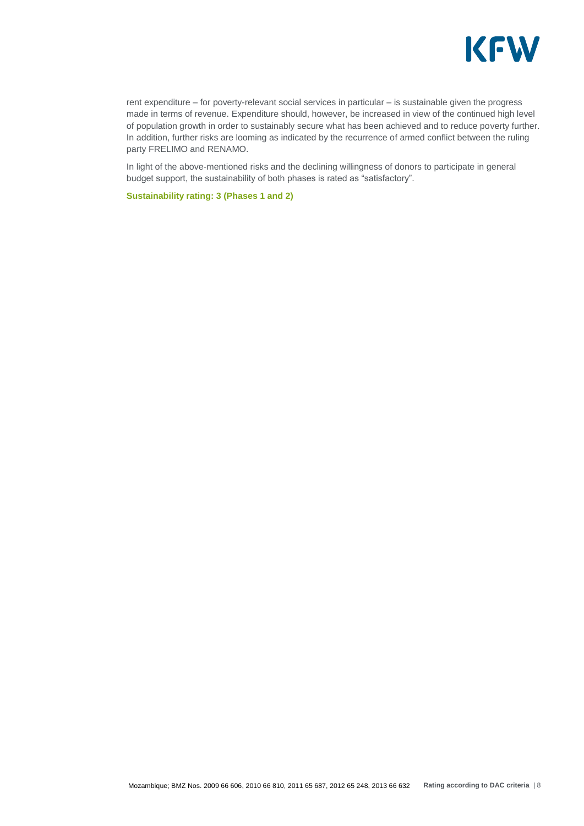

rent expenditure – for poverty-relevant social services in particular – is sustainable given the progress made in terms of revenue. Expenditure should, however, be increased in view of the continued high level of population growth in order to sustainably secure what has been achieved and to reduce poverty further. In addition, further risks are looming as indicated by the recurrence of armed conflict between the ruling party FRELIMO and RENAMO.

In light of the above-mentioned risks and the declining willingness of donors to participate in general budget support, the sustainability of both phases is rated as "satisfactory".

**Sustainability rating: 3 (Phases 1 and 2)**